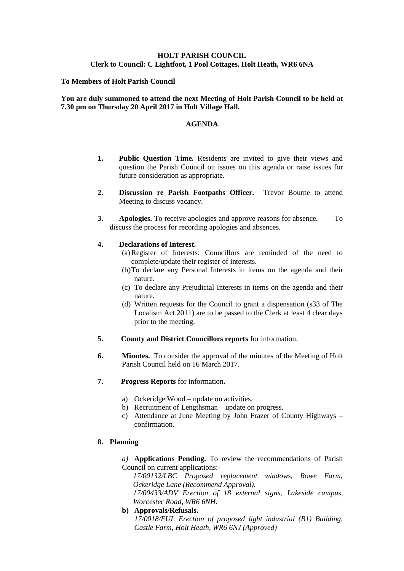# **HOLT PARISH COUNCIL Clerk to Council: C Lightfoot, 1 Pool Cottages, Holt Heath, WR6 6NA**

### **To Members of Holt Parish Council**

### **You are duly summoned to attend the next Meeting of Holt Parish Council to be held at 7.30 pm on Thursday 20 April 2017 in Holt Village Hall.**

#### **AGENDA**

- **1. Public Question Time.** Residents are invited to give their views and question the Parish Council on issues on this agenda or raise issues for future consideration as appropriate.
- **2. Discussion re Parish Footpaths Officer.** Trevor Bourne to attend Meeting to discuss vacancy.
- **3. Apologies.** To receive apologies and approve reasons for absence. To discuss the process for recording apologies and absences.

# **4. Declarations of Interest.**

- (a)Register of Interests: Councillors are reminded of the need to complete/update their register of interests.
- (b)To declare any Personal Interests in items on the agenda and their nature.
- (c) To declare any Prejudicial Interests in items on the agenda and their nature.
- (d) Written requests for the Council to grant a dispensation (s33 of The Localism Act 2011) are to be passed to the Clerk at least 4 clear days prior to the meeting.
- **5. County and District Councillors reports** for information.
- **6. Minutes.** To consider the approval of the minutes of the Meeting of Holt Parish Council held on 16 March 2017.
- **7. Progress Reports** for information**.**
	- a) Ockeridge Wood update on activities.
	- b) Recruitment of Lengthsman update on progress.
	- c) Attendance at June Meeting by John Frazer of County Highways confirmation.

## **8. Planning**

*a)* **Applications Pending.** To review the recommendations of Parish Council on current applications:-

*17/00132/LBC Proposed replacement windows, Rowe Farm, Ockeridge Lane (Recommend Approval).*

*17/00433/ADV Erection of 18 external signs, Lakeside campus, Worcester Road, WR6 6NH.*

**b) Approvals/Refusals.**

*17/0018/FUL Erection of proposed light industrial (B1) Building, Castle Farm, Holt Heath, WR6 6NJ (Approved)*